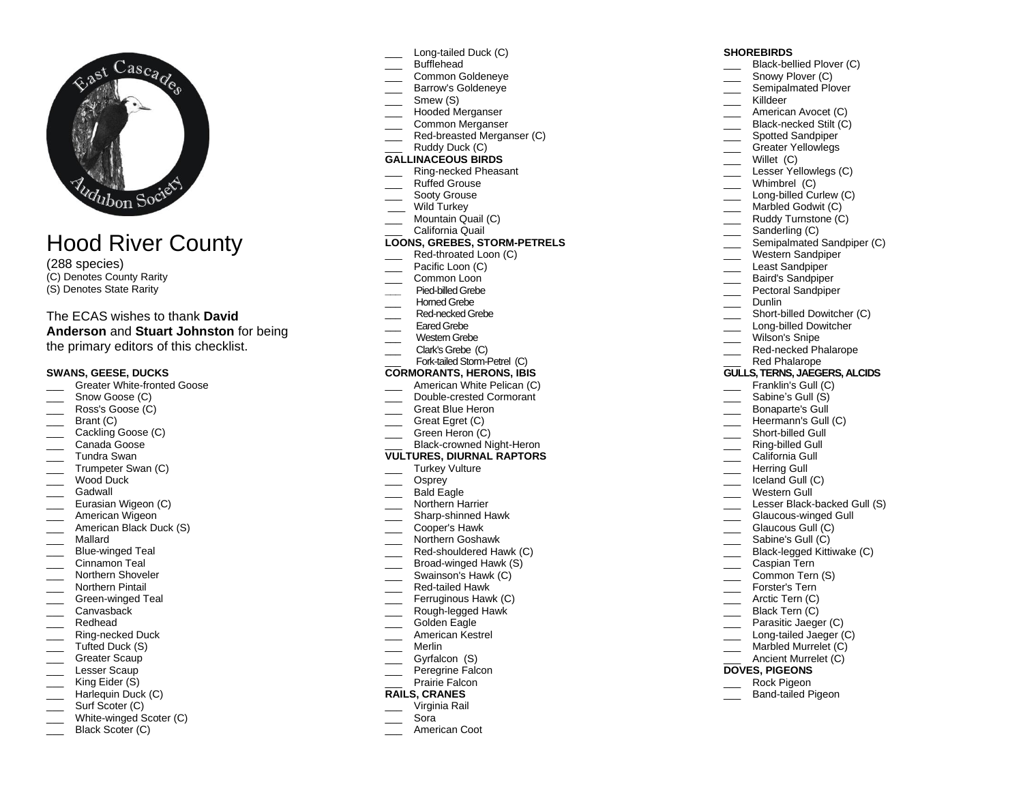

# Hood River County

(288 species)

(C) Denotes County Rarity (S) Denotes State Rarity

# The ECAS wishes to thank **David**

**Anderson** and **Stuart Johnston** for being the primary editors of this checklist.

## **SWANS, GEESE, DUCKS**

- Greater White-fronted Goose
- Snow Goose (C)
- Ross's Goose (C)
- Brant (C)
- \_\_\_ Cackling Goose (C)
- Canada Goose
- \_\_\_ Tundra Swan
- Trumpeter Swan (C)
- Wood Duck
- **Gadwall**
- Eurasian Wigeon (C)
- \_\_\_ American Wigeon
- American Black Duck (S)
- \_\_\_ Mallard
- Blue-winged Teal
- Cinnamon Teal
- Northern Shoveler
- Northern Pintail
- \_\_\_ Green-winged Teal
- Canvasback
- \_\_\_ Redhead
- \_\_\_ Ring-necked Duck
- Tufted Duck (S)
- Greater Scaup
- Lesser Scaup King Eider (S)
- Harlequin Duck (C)
- \_\_\_\_ Surf Scoter (C)
- White-winged Scoter (C)
- Black Scoter (C)
- Long-tailed Duck (C)
- Bufflehead
- \_\_\_ Common Goldeneye
- Barrow's Goldeneye
- Smew (S)
- \_\_\_ Hooded Merganser \_\_\_ Common Merganser
- Red-breasted Merganser (C)
- 
- Ruddy Duck (C) **GALLINACEOUS BIRDS**
- Ring-necked Pheasant
- \_\_\_ Ruffed Grouse
- Sooty Grouse
- Wild Turkey
- Mountain Quail (C)
- California Quail

## **LOONS, GREBES, STORM-PETRELS**

- Red-throated Loon (C)
- Pacific Loon (C)
- Common Loon
- **\_\_\_** Pied-billed Grebe
- Horned Grebe
- Red-necked Grebe
- Eared Grebe
- Western Grebe
- \_\_\_ Clark's Grebe(C)

#### Fork-tailed Storm-Petrel **(C) CORMORANTS, HERONS, IBIS**

- American White Pelican (C)
- Double-crested Cormorant
- Great Blue Heron
- Great Egret (C)
- Green Heron (C)
- Black-crowned Night-Heron
- **VULTURES, DIURNAL RAPTORS**
- Turkey Vulture
- Osprey
- Bald Eagle
- Northern Harrier
- \_\_\_ Sharp-shinned Hawk
- \_\_\_ Cooper's Hawk \_\_\_ Northern Goshawk
- Red-shouldered Hawk (C)
- Broad-winged Hawk (S)
- Swainson's Hawk (C)
- \_\_\_ Red-tailed Hawk
- Ferruginous Hawk (C)
- Rough-legged Hawk
- Golden Eagle
- American Kestrel
- \_\_\_ Merlin
- \_\_\_ Gyrfalcon (S)
- Peregrine Falcon
- Prairie Falcon

## **RAILS, CRANES**

- \_\_\_ Virginia Rail
- \_\_\_ Sora
- American Coot

## **SHOREBIRDS**

- Black-bellied Plover (C)
- Snowy Plover (C)
- Semipalmated Plover
- Killdeer
- American Avocet (C)
- Black-necked Stilt (C)

Lesser Yellowlegs (C) Whimbrel (C) Long-billed Curlew (C) Marbled Godwit (C) Ruddy Turnstone (C) Sanderling (C) Semipalmated Sandpiper (C) \_\_\_ Western Sandpiper Least Sandpiper Baird's Sandpiper Pectoral Sandpiper

Short-billed Dowitcher (C) Long-billed Dowitcher Wilson's Snipe Red-necked Phalarope Red Phalarope **GULLS, TERNS, JAEGERS, ALCIDS** Franklin's Gull (C) Sabine's Gull (S) Bonaparte's Gull Heermann's Gull (C) Short-billed Gull \_\_\_ Ring-billed Gull California Gull Herring Gull Iceland Gull (C) Western Gull

Lesser Black-backed Gull (S)

\_\_\_ Glaucous-winged Gull Glaucous Gull (C) Sabine's Gull (C) \_\_\_ Black-legged Kittiwake (C) \_\_\_ Caspian Tern Common Tern (S) Forster's Tern Arctic Tern (C) \_\_\_ Black Tern (C)

Parasitic Jaeger (C) Long-tailed Jaeger (C) \_\_\_\_ Marbled Murrelet (C) Ancient Murrelet (C)

**DOVES, PIGEONS** \_\_\_ Rock Pigeon Band-tailed Pigeon

- Spotted Sandpiper
- Greater Yellowlegs Willet (C)

\_\_\_ Dunlin